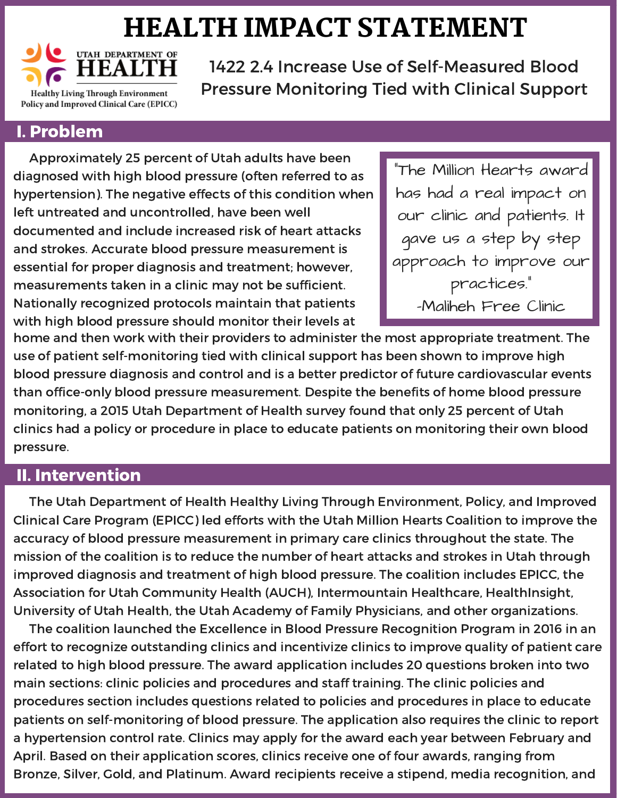## HEALTH IMPACT STATEMENT



1422 2.4 Increase Use of Self-Measured Blood Pressure Monitoring Tied with Clinical Support

## I. Problem

Approximately 25 percent of Utah adults have been diagnosed with high blood pressure (often referred to as hypertension). The negative effects of this condition when left untreated and uncontrolled, have been well documented and include increased risk of heart attacks and strokes. Accurate blood pressure measurement is essential for proper diagnosis and treatment; however, measurements taken in a clinic may not be sufficient. Nationally recognized protocols maintain that patients with high blood pressure should monitor their levels at

"The Million Hearts award has had a real impact on our clinic and patients. It gave us a step by step approach to improve our practices." -Maliheh Free Clinic

home and then work with their providers to administer the most appropriate treatment. The use of patient self-monitoring tied with clinical support has been shown to improve high blood pressure diagnosis and control and is a better predictor of future cardiovascular events than office-only blood pressure measurement. Despite the benefits of home blood pressure monitoring, a 2015 Utah Department of Health survey found that only 25 percent of Utah clinics had a policy or procedure in place to educate patients on monitoring their own blood pressure.

## II. Intervention

The Utah Department of Health Healthy Living Through Environment, Policy, and Improved Clinical Care Program (EPICC) led efforts with the Utah Million Hearts Coalition to improve the accuracy of blood pressure measurement in primary care clinics throughout the state. The mission of the coalition is to reduce the number of heart attacks and strokes in Utah through improved diagnosis and treatment of high blood pressure. The coalition includes EPICC, the Association for Utah Community Health (AUCH), Intermountain Healthcare, HealthInsight, University of Utah Health, the Utah Academy of Family Physicians, and other organizations.

The coalition launched the Excellence in Blood Pressure Recognition Program in 2016 in an effort to recognize outstanding clinics and incentivize clinics to improve quality of patient care related to high blood pressure. The award application includes 20 questions broken into two main sections: clinic policies and procedures and staff training. The clinic policies and procedures section includes questions related to policies and procedures in place to educate patients on self-monitoring of blood pressure. The application also requires the clinic to report a hypertension control rate. Clinics may apply for the award each year between February and April. Based on their application scores, clinics receive one of four awards, ranging from Bronze, Silver, Gold, and Platinum. Award recipients receive a stipend, media recognition, and